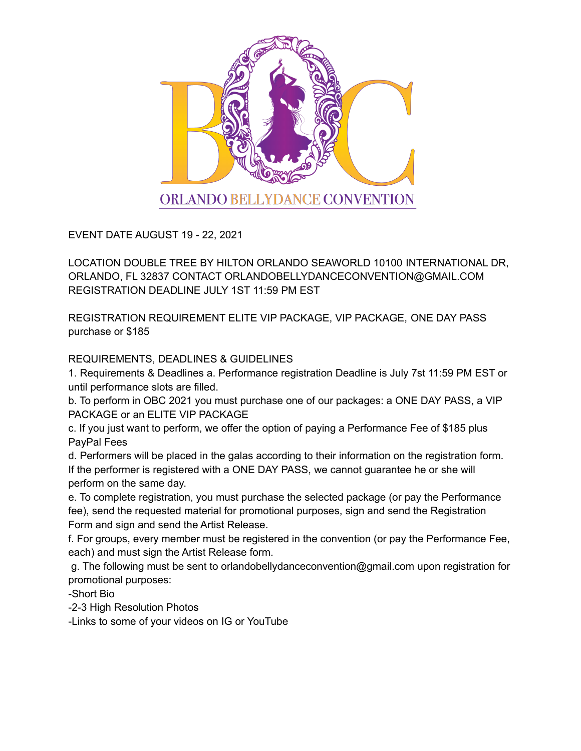

EVENT DATE AUGUST 19 - 22, 2021

LOCATION DOUBLE TREE BY HILTON ORLANDO SEAWORLD 10100 INTERNATIONAL DR, ORLANDO, FL 32837 CONTACT ORLANDOBELLYDANCECONVENTION@GMAIL.COM REGISTRATION DEADLINE JULY 1ST 11:59 PM EST

REGISTRATION REQUIREMENT ELITE VIP PACKAGE, VIP PACKAGE, ONE DAY PASS purchase or \$185

REQUIREMENTS, DEADLINES & GUIDELINES

1. Requirements & Deadlines a. Performance registration Deadline is July 7st 11:59 PM EST or until performance slots are filled.

b. To perform in OBC 2021 you must purchase one of our packages: a ONE DAY PASS, a VIP PACKAGE or an ELITE VIP PACKAGE

c. If you just want to perform, we offer the option of paying a Performance Fee of \$185 plus PayPal Fees

d. Performers will be placed in the galas according to their information on the registration form. If the performer is registered with a ONE DAY PASS, we cannot guarantee he or she will perform on the same day.

e. To complete registration, you must purchase the selected package (or pay the Performance fee), send the requested material for promotional purposes, sign and send the Registration Form and sign and send the Artist Release.

f. For groups, every member must be registered in the convention (or pay the Performance Fee, each) and must sign the Artist Release form.

g. The following must be sent to orlandobellydanceconvention@gmail.com upon registration for promotional purposes:

-Short Bio

-2-3 High Resolution Photos

-Links to some of your videos on IG or YouTube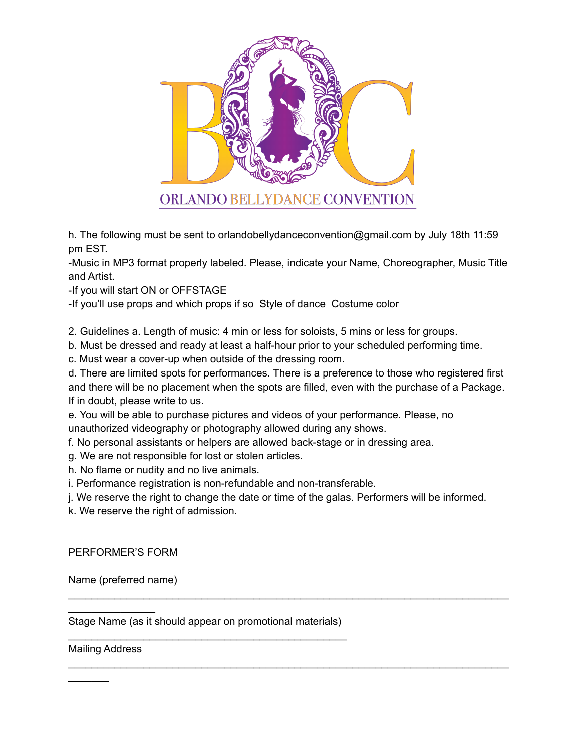

h. The following must be sent to orlandobellydanceconvention@gmail.com by July 18th 11:59 pm EST.

-Music in MP3 format properly labeled. Please, indicate your Name, Choreographer, Music Title and Artist.

-If you will start ON or OFFSTAGE

-If you'll use props and which props if so Style of dance Costume color

2. Guidelines a. Length of music: 4 min or less for soloists, 5 mins or less for groups.

b. Must be dressed and ready at least a half-hour prior to your scheduled performing time.

c. Must wear a cover-up when outside of the dressing room.

d. There are limited spots for performances. There is a preference to those who registered first and there will be no placement when the spots are filled, even with the purchase of a Package. If in doubt, please write to us.

e. You will be able to purchase pictures and videos of your performance. Please, no unauthorized videography or photography allowed during any shows.

f. No personal assistants or helpers are allowed back-stage or in dressing area.

g. We are not responsible for lost or stolen articles.

h. No flame or nudity and no live animals.

i. Performance registration is non-refundable and non-transferable.

j. We reserve the right to change the date or time of the galas. Performers will be informed.

\_\_\_\_\_\_\_\_\_\_\_\_\_\_\_\_\_\_\_\_\_\_\_\_\_\_\_\_\_\_\_\_\_\_\_\_\_\_\_\_\_\_\_\_\_\_\_\_\_\_\_\_\_\_\_\_\_\_\_\_\_\_\_\_\_\_\_\_\_\_\_\_\_\_\_\_

\_\_\_\_\_\_\_\_\_\_\_\_\_\_\_\_\_\_\_\_\_\_\_\_\_\_\_\_\_\_\_\_\_\_\_\_\_\_\_\_\_\_\_\_\_\_\_\_\_\_\_\_\_\_\_\_\_\_\_\_\_\_\_\_\_\_\_\_\_\_\_\_\_\_\_\_

k. We reserve the right of admission.

PERFORMER'S FORM

Name (preferred name)

Stage Name (as it should appear on promotional materials) \_\_\_\_\_\_\_\_\_\_\_\_\_\_\_\_\_\_\_\_\_\_\_\_\_\_\_\_\_\_\_\_\_\_\_\_\_\_\_\_\_\_\_\_\_\_\_\_

Mailing Address

 $\mathcal{L}$ 

 $\mathcal{L}_\text{max}$  , where  $\mathcal{L}_\text{max}$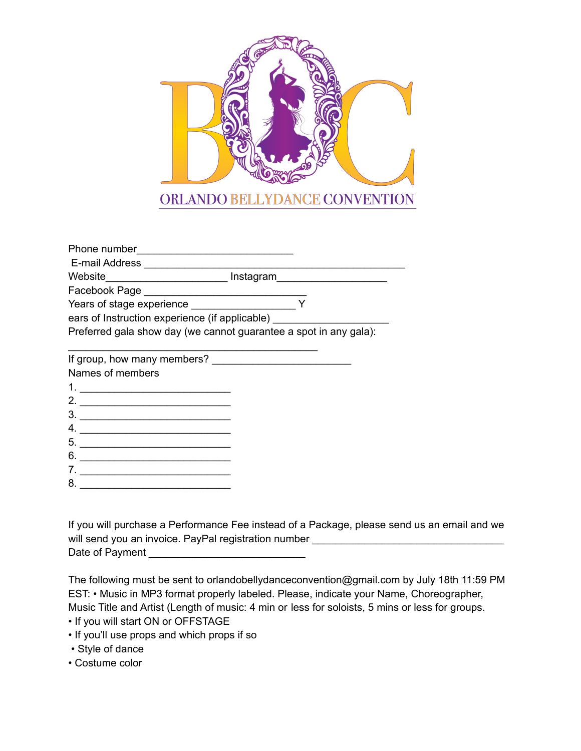

| Phone number                                                      |           |  |
|-------------------------------------------------------------------|-----------|--|
| E-mail Address                                                    |           |  |
| Website                                                           | Instagram |  |
| Facebook Page                                                     |           |  |
| Years of stage experience                                         |           |  |
| ears of Instruction experience (if applicable)                    |           |  |
| Preferred gala show day (we cannot guarantee a spot in any gala): |           |  |
| If group, how many members?                                       |           |  |
| Names of members                                                  |           |  |
|                                                                   |           |  |
| റ                                                                 |           |  |

- 2. \_\_\_\_\_\_\_\_\_\_\_\_\_\_\_\_\_\_\_\_\_\_\_\_\_\_ 3. \_\_\_\_\_\_\_\_\_\_\_\_\_\_\_\_\_\_\_\_\_\_\_\_\_\_ 4. \_\_\_\_\_\_\_\_\_\_\_\_\_\_\_\_\_\_\_\_\_\_\_\_\_\_ 5. \_\_\_\_\_\_\_\_\_\_\_\_\_\_\_\_\_\_\_\_\_\_\_\_\_\_
- $6.$   $\overline{\phantom{a}}$
- 7. \_\_\_\_\_\_\_\_\_\_\_\_\_\_\_\_\_\_\_\_\_\_\_\_\_\_
- 8. \_\_\_\_\_\_\_\_\_\_\_\_\_\_\_\_\_\_\_\_\_\_\_\_\_\_

If you will purchase a Performance Fee instead of a Package, please send us an email and we will send you an invoice. PayPal registration number \_\_\_\_\_\_\_\_\_\_\_\_\_\_\_\_\_\_\_\_\_\_\_\_\_\_\_\_ Date of Payment \_\_\_\_\_\_\_\_\_\_\_\_\_\_\_\_\_\_\_\_\_\_\_\_\_\_\_

The following must be sent to orlandobellydanceconvention@gmail.com by July 18th 11:59 PM EST: • Music in MP3 format properly labeled. Please, indicate your Name, Choreographer, Music Title and Artist (Length of music: 4 min or less for soloists, 5 mins or less for groups.

- If you will start ON or OFFSTAGE
- If you'll use props and which props if so
- Style of dance
- Costume color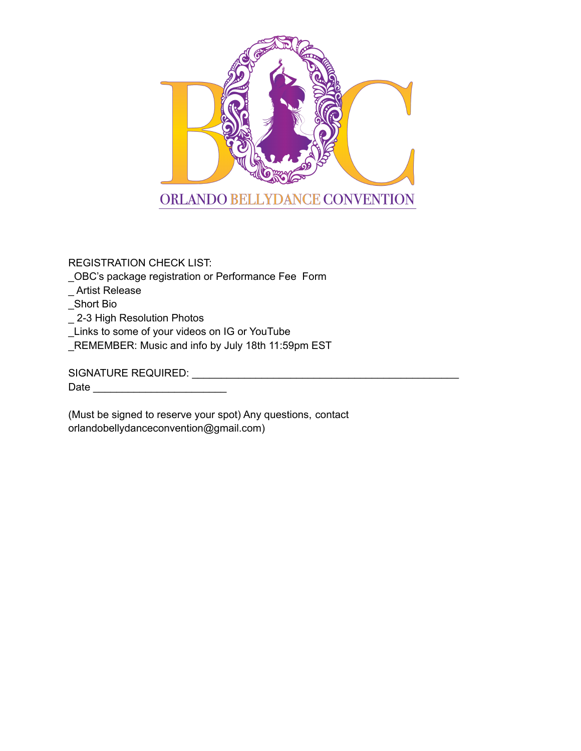

REGISTRATION CHECK LIST:

\_OBC's package registration or Performance Fee Form

\_ Artist Release

\_Short Bio

\_ 2-3 High Resolution Photos

\_Links to some of your videos on IG or YouTube

\_REMEMBER: Music and info by July 18th 11:59pm EST

SIGNATURE REQUIRED: \_\_\_\_\_\_\_\_\_\_\_\_\_\_\_\_\_\_\_\_\_\_\_\_\_\_\_\_\_\_\_\_\_\_\_\_\_\_\_\_\_\_\_\_\_\_ Date \_\_\_\_\_\_\_\_\_\_\_\_\_\_\_\_\_\_\_\_\_\_\_

(Must be signed to reserve your spot) Any questions, contact orlandobellydanceconvention@gmail.com)